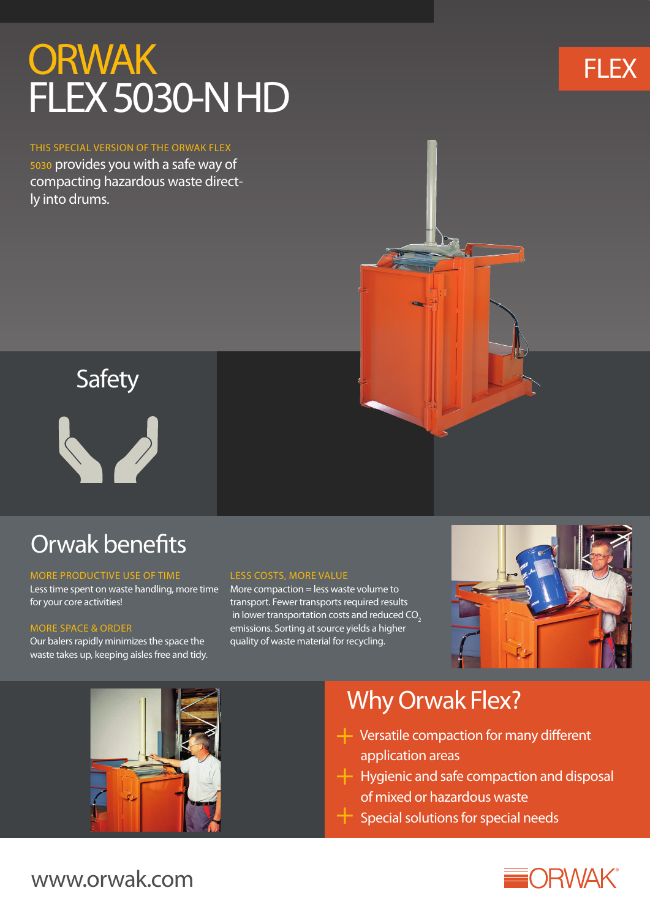# **ORWAK** FLEX 5030-N HD

THIS SPECIAL VERSION OF THE ORWAK FLEX 5030 provides you with a safe way of compacting hazardous waste directly into drums.





## Orwak benefits

### MORE PRODUCTIVE USE OF TIME

Less time spent on waste handling, more time for your core activities!

### MORE SPACE & ORDER

Our balers rapidly minimizes the space the waste takes up, keeping aisles free and tidy.

### LESS COSTS, MORE VALUE

More compaction = less waste volume to transport. Fewer transports required results in lower transportation costs and reduced  $CO<sub>2</sub>$ emissions. Sorting at source yields a higher quality of waste material for recycling.





## Why Orwak Flex?

- + Versatile compaction for many different application areas
- + Hygienic and safe compaction and disposal of mixed or hazardous waste
- $+$  Special solutions for special needs



### www.orwak.com